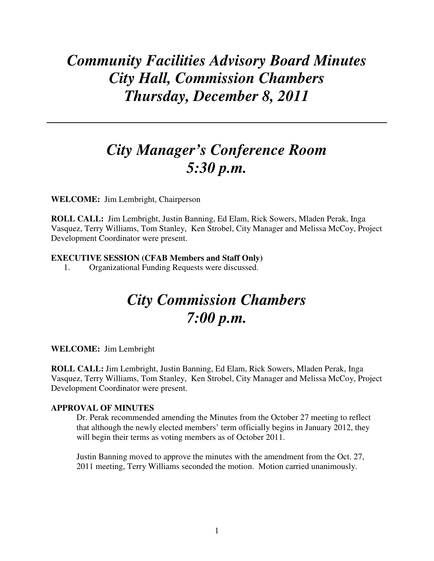## *Community Facilities Advisory Board Minutes City Hall, Commission Chambers Thursday, December 8, 2011*

## *City Manager's Conference Room 5:30 p.m.*

**WELCOME:** Jim Lembright, Chairperson

**ROLL CALL:** Jim Lembright, Justin Banning, Ed Elam, Rick Sowers, Mladen Perak, Inga Vasquez, Terry Williams, Tom Stanley, Ken Strobel, City Manager and Melissa McCoy, Project Development Coordinator were present.

## **EXECUTIVE SESSION (CFAB Members and Staff Only)**

1. Organizational Funding Requests were discussed.

# *City Commission Chambers 7:00 p.m.*

**WELCOME:** Jim Lembright

**ROLL CALL:** Jim Lembright, Justin Banning, Ed Elam, Rick Sowers, Mladen Perak, Inga Vasquez, Terry Williams, Tom Stanley, Ken Strobel, City Manager and Melissa McCoy, Project Development Coordinator were present.

## **APPROVAL OF MINUTES**

Dr. Perak recommended amending the Minutes from the October 27 meeting to reflect that although the newly elected members' term officially begins in January 2012, they will begin their terms as voting members as of October 2011.

Justin Banning moved to approve the minutes with the amendment from the Oct. 27, 2011 meeting, Terry Williams seconded the motion. Motion carried unanimously.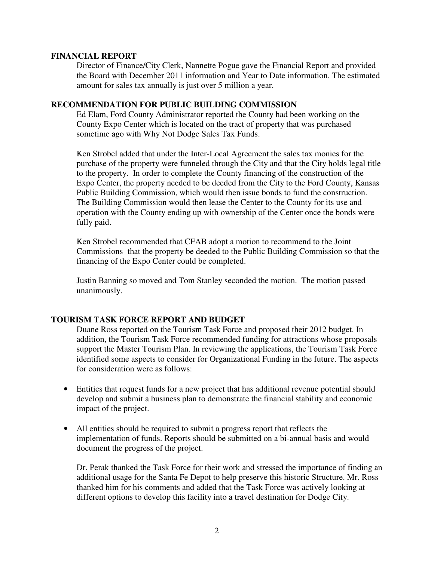#### **FINANCIAL REPORT**

Director of Finance/City Clerk, Nannette Pogue gave the Financial Report and provided the Board with December 2011 information and Year to Date information. The estimated amount for sales tax annually is just over 5 million a year.

## **RECOMMENDATION FOR PUBLIC BUILDING COMMISSION**

 Ed Elam, Ford County Administrator reported the County had been working on the County Expo Center which is located on the tract of property that was purchased sometime ago with Why Not Dodge Sales Tax Funds.

 Ken Strobel added that under the Inter-Local Agreement the sales tax monies for the purchase of the property were funneled through the City and that the City holds legal title to the property. In order to complete the County financing of the construction of the Expo Center, the property needed to be deeded from the City to the Ford County, Kansas Public Building Commission, which would then issue bonds to fund the construction. The Building Commission would then lease the Center to the County for its use and operation with the County ending up with ownership of the Center once the bonds were fully paid.

 Ken Strobel recommended that CFAB adopt a motion to recommend to the Joint Commissions that the property be deeded to the Public Building Commission so that the financing of the Expo Center could be completed.

 Justin Banning so moved and Tom Stanley seconded the motion. The motion passed unanimously.

## **TOURISM TASK FORCE REPORT AND BUDGET**

 Duane Ross reported on the Tourism Task Force and proposed their 2012 budget. In addition, the Tourism Task Force recommended funding for attractions whose proposals support the Master Tourism Plan. In reviewing the applications, the Tourism Task Force identified some aspects to consider for Organizational Funding in the future. The aspects for consideration were as follows:

- Entities that request funds for a new project that has additional revenue potential should develop and submit a business plan to demonstrate the financial stability and economic impact of the project.
- All entities should be required to submit a progress report that reflects the implementation of funds. Reports should be submitted on a bi-annual basis and would document the progress of the project.

 Dr. Perak thanked the Task Force for their work and stressed the importance of finding an additional usage for the Santa Fe Depot to help preserve this historic Structure. Mr. Ross thanked him for his comments and added that the Task Force was actively looking at different options to develop this facility into a travel destination for Dodge City.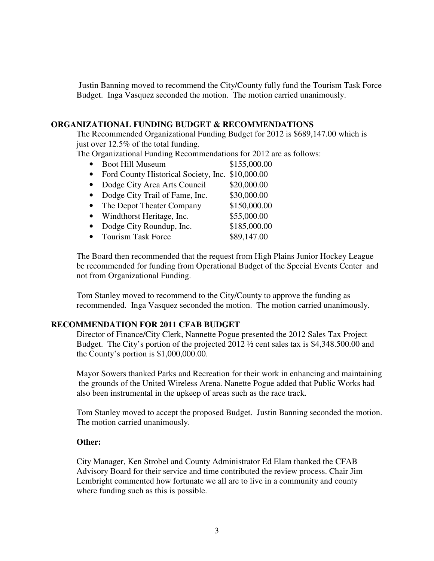Justin Banning moved to recommend the City/County fully fund the Tourism Task Force Budget. Inga Vasquez seconded the motion. The motion carried unanimously.

### **ORGANIZATIONAL FUNDING BUDGET & RECOMMENDATIONS**

 The Recommended Organizational Funding Budget for 2012 is \$689,147.00 which is just over 12.5% of the total funding.

The Organizational Funding Recommendations for 2012 are as follows:

- Boot Hill Museum \$155,000.00 • Ford County Historical Society, Inc. \$10,000.00
- Dodge City Area Arts Council \$20,000.00
- Dodge City Trail of Fame, Inc. \$30,000.00
- The Depot Theater Company \$150,000.00
- Windthorst Heritage, Inc. \$55,000.00
- Dodge City Roundup, Inc. \$185,000.00
- Tourism Task Force \$89,147.00

 The Board then recommended that the request from High Plains Junior Hockey League be recommended for funding from Operational Budget of the Special Events Center and not from Organizational Funding.

Tom Stanley moved to recommend to the City/County to approve the funding as recommended. Inga Vasquez seconded the motion. The motion carried unanimously.

### **RECOMMENDATION FOR 2011 CFAB BUDGET**

Director of Finance/City Clerk, Nannette Pogue presented the 2012 Sales Tax Project Budget. The City's portion of the projected 2012 ½ cent sales tax is \$4,348.500.00 and the County's portion is \$1,000,000.00.

 Mayor Sowers thanked Parks and Recreation for their work in enhancing and maintaining the grounds of the United Wireless Arena. Nanette Pogue added that Public Works had also been instrumental in the upkeep of areas such as the race track.

Tom Stanley moved to accept the proposed Budget. Justin Banning seconded the motion. The motion carried unanimously.

#### **Other:**

 City Manager, Ken Strobel and County Administrator Ed Elam thanked the CFAB Advisory Board for their service and time contributed the review process. Chair Jim Lembright commented how fortunate we all are to live in a community and county where funding such as this is possible.